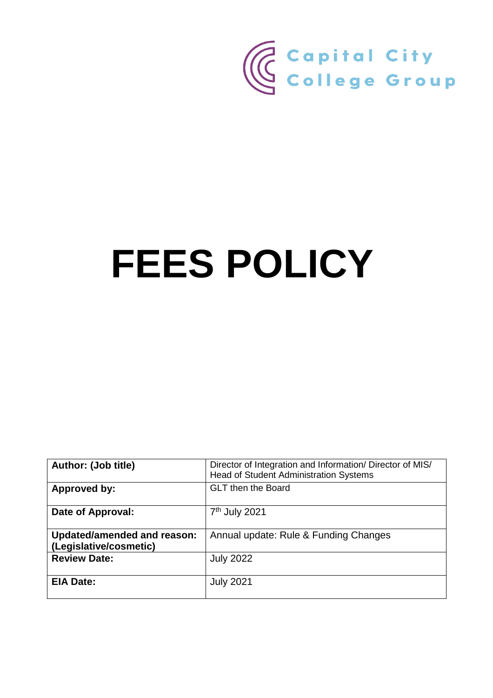

# **FEES POLICY**

| <b>Author: (Job title)</b>                                   | Director of Integration and Information/ Director of MIS/<br><b>Head of Student Administration Systems</b> |
|--------------------------------------------------------------|------------------------------------------------------------------------------------------------------------|
| <b>Approved by:</b>                                          | <b>GLT then the Board</b>                                                                                  |
| Date of Approval:                                            | 7 <sup>th</sup> July 2021                                                                                  |
| <b>Updated/amended and reason:</b><br>(Legislative/cosmetic) | Annual update: Rule & Funding Changes                                                                      |
| <b>Review Date:</b>                                          | <b>July 2022</b>                                                                                           |
| <b>EIA Date:</b>                                             | <b>July 2021</b>                                                                                           |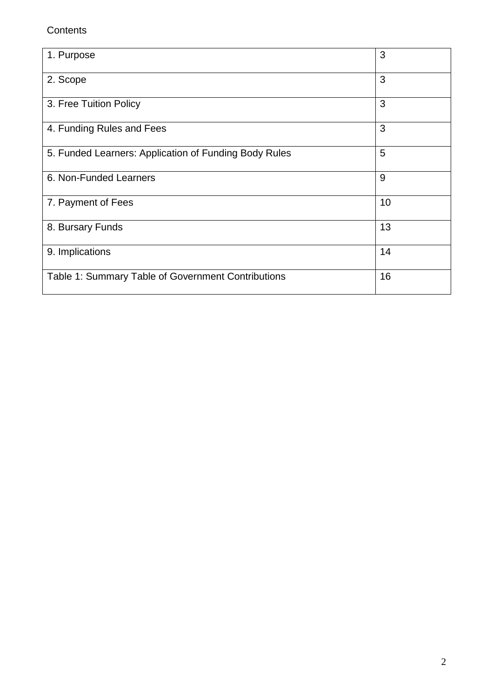# **Contents**

| 1. Purpose                                            | 3  |
|-------------------------------------------------------|----|
| 2. Scope                                              | 3  |
| 3. Free Tuition Policy                                | 3  |
| 4. Funding Rules and Fees                             | 3  |
| 5. Funded Learners: Application of Funding Body Rules | 5  |
| 6. Non-Funded Learners                                | 9  |
| 7. Payment of Fees                                    | 10 |
| 8. Bursary Funds                                      | 13 |
| 9. Implications                                       | 14 |
| Table 1: Summary Table of Government Contributions    | 16 |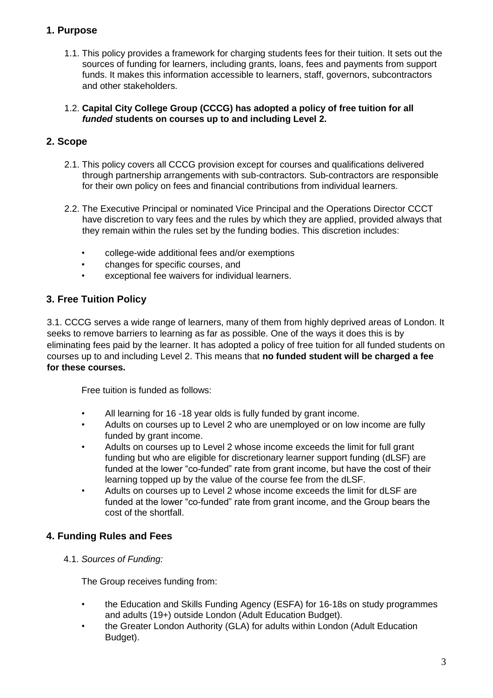## **1. Purpose**

- 1.1. This policy provides a framework for charging students fees for their tuition. It sets out the sources of funding for learners, including grants, loans, fees and payments from support funds. It makes this information accessible to learners, staff, governors, subcontractors and other stakeholders.
- 1.2. **Capital City College Group (CCCG) has adopted a policy of free tuition for all**  *funded* **students on courses up to and including Level 2.**

## **2. Scope**

- 2.1. This policy covers all CCCG provision except for courses and qualifications delivered through partnership arrangements with sub-contractors. Sub-contractors are responsible for their own policy on fees and financial contributions from individual learners.
- 2.2. The Executive Principal or nominated Vice Principal and the Operations Director CCCT have discretion to vary fees and the rules by which they are applied, provided always that they remain within the rules set by the funding bodies. This discretion includes:
	- college-wide additional fees and/or exemptions
	- changes for specific courses, and
	- exceptional fee waivers for individual learners.

## **3. Free Tuition Policy**

3.1. CCCG serves a wide range of learners, many of them from highly deprived areas of London. It seeks to remove barriers to learning as far as possible. One of the ways it does this is by eliminating fees paid by the learner. It has adopted a policy of free tuition for all funded students on courses up to and including Level 2. This means that **no funded student will be charged a fee for these courses.**

Free tuition is funded as follows:

- All learning for 16 -18 year olds is fully funded by grant income.
- Adults on courses up to Level 2 who are unemployed or on low income are fully funded by grant income.
- Adults on courses up to Level 2 whose income exceeds the limit for full grant funding but who are eligible for discretionary learner support funding (dLSF) are funded at the lower "co-funded" rate from grant income, but have the cost of their learning topped up by the value of the course fee from the dLSF.
- Adults on courses up to Level 2 whose income exceeds the limit for dLSF are funded at the lower "co-funded" rate from grant income, and the Group bears the cost of the shortfall.

## **4. Funding Rules and Fees**

4.1. *Sources of Funding:*

The Group receives funding from:

- the Education and Skills Funding Agency (ESFA) for 16-18s on study programmes and adults (19+) outside London (Adult Education Budget).
- the Greater London Authority (GLA) for adults within London (Adult Education Budget).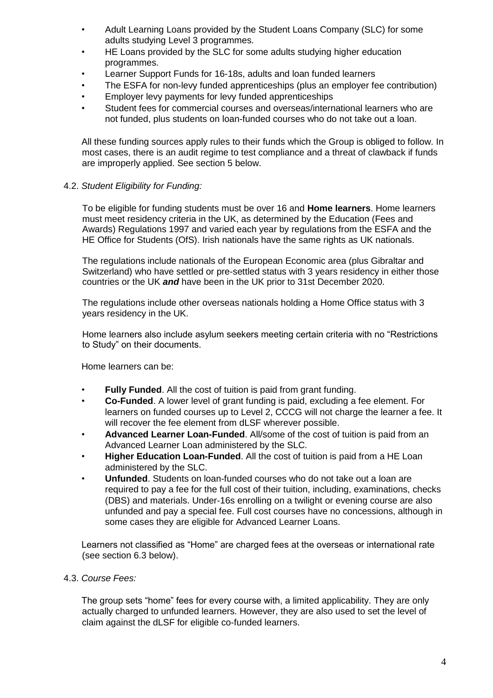- Adult Learning Loans provided by the Student Loans Company (SLC) for some adults studying Level 3 programmes.
- HE Loans provided by the SLC for some adults studying higher education programmes.
- Learner Support Funds for 16-18s, adults and loan funded learners
- The ESFA for non-levy funded apprenticeships (plus an employer fee contribution)
- Employer levy payments for levy funded apprenticeships
- Student fees for commercial courses and overseas/international learners who are not funded, plus students on loan-funded courses who do not take out a loan.

All these funding sources apply rules to their funds which the Group is obliged to follow. In most cases, there is an audit regime to test compliance and a threat of clawback if funds are improperly applied. See section 5 below.

#### 4.2. *Student Eligibility for Funding:*

To be eligible for funding students must be over 16 and **Home learners**. Home learners must meet residency criteria in the UK, as determined by the Education (Fees and Awards) Regulations 1997 and varied each year by regulations from the ESFA and the HE Office for Students (OfS). Irish nationals have the same rights as UK nationals.

The regulations include nationals of the European Economic area (plus Gibraltar and Switzerland) who have settled or pre-settled status with 3 years residency in either those countries or the UK *and* have been in the UK prior to 31st December 2020.

The regulations include other overseas nationals holding a Home Office status with 3 years residency in the UK.

Home learners also include asylum seekers meeting certain criteria with no "Restrictions to Study" on their documents.

Home learners can be:

- **Fully Funded**. All the cost of tuition is paid from grant funding.
- **Co-Funded**. A lower level of grant funding is paid, excluding a fee element. For learners on funded courses up to Level 2, CCCG will not charge the learner a fee. It will recover the fee element from dLSF wherever possible.
- **Advanced Learner Loan-Funded**. All/some of the cost of tuition is paid from an Advanced Learner Loan administered by the SLC.
- **Higher Education Loan-Funded**. All the cost of tuition is paid from a HE Loan administered by the SLC.
- **Unfunded**. Students on loan-funded courses who do not take out a loan are required to pay a fee for the full cost of their tuition, including, examinations, checks (DBS) and materials. Under-16s enrolling on a twilight or evening course are also unfunded and pay a special fee. Full cost courses have no concessions, although in some cases they are eligible for Advanced Learner Loans.

Learners not classified as "Home" are charged fees at the overseas or international rate (see section 6.3 below).

4.3. *Course Fees:*

The group sets "home" fees for every course with, a limited applicability. They are only actually charged to unfunded learners. However, they are also used to set the level of claim against the dLSF for eligible co-funded learners.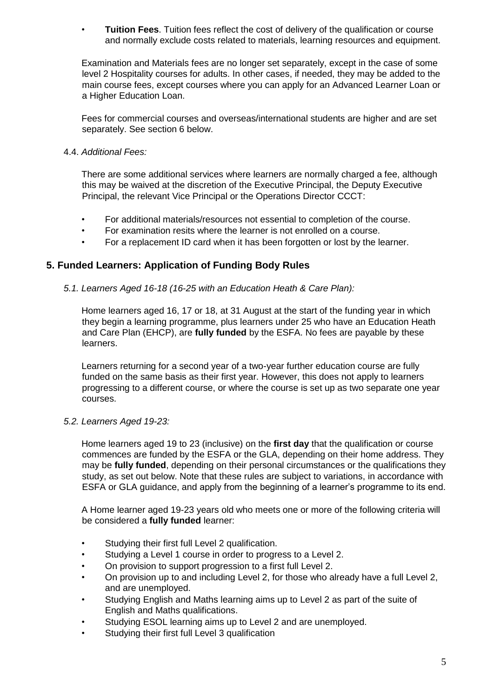• **Tuition Fees**. Tuition fees reflect the cost of delivery of the qualification or course and normally exclude costs related to materials, learning resources and equipment.

Examination and Materials fees are no longer set separately, except in the case of some level 2 Hospitality courses for adults. In other cases, if needed, they may be added to the main course fees, except courses where you can apply for an Advanced Learner Loan or a Higher Education Loan.

Fees for commercial courses and overseas/international students are higher and are set separately. See section 6 below.

4.4. *Additional Fees:*

There are some additional services where learners are normally charged a fee, although this may be waived at the discretion of the Executive Principal, the Deputy Executive Principal, the relevant Vice Principal or the Operations Director CCCT:

- For additional materials/resources not essential to completion of the course.
- For examination resits where the learner is not enrolled on a course.
- For a replacement ID card when it has been forgotten or lost by the learner.

## **5. Funded Learners: Application of Funding Body Rules**

*5.1. Learners Aged 16-18 (16-25 with an Education Heath & Care Plan):* 

Home learners aged 16, 17 or 18, at 31 August at the start of the funding year in which they begin a learning programme, plus learners under 25 who have an Education Heath and Care Plan (EHCP), are **fully funded** by the ESFA. No fees are payable by these learners.

Learners returning for a second year of a two-year further education course are fully funded on the same basis as their first year. However, this does not apply to learners progressing to a different course, or where the course is set up as two separate one year courses.

*5.2. Learners Aged 19-23:* 

Home learners aged 19 to 23 (inclusive) on the **first day** that the qualification or course commences are funded by the ESFA or the GLA, depending on their home address. They may be **fully funded**, depending on their personal circumstances or the qualifications they study, as set out below. Note that these rules are subject to variations, in accordance with ESFA or GLA guidance, and apply from the beginning of a learner's programme to its end.

A Home learner aged 19-23 years old who meets one or more of the following criteria will be considered a **fully funded** learner:

- Studying their first full Level 2 qualification.
- Studying a Level 1 course in order to progress to a Level 2.
- On provision to support progression to a first full Level 2.
- On provision up to and including Level 2, for those who already have a full Level 2, and are unemployed.
- Studying English and Maths learning aims up to Level 2 as part of the suite of English and Maths qualifications.
- Studying ESOL learning aims up to Level 2 and are unemployed.
- Studying their first full Level 3 qualification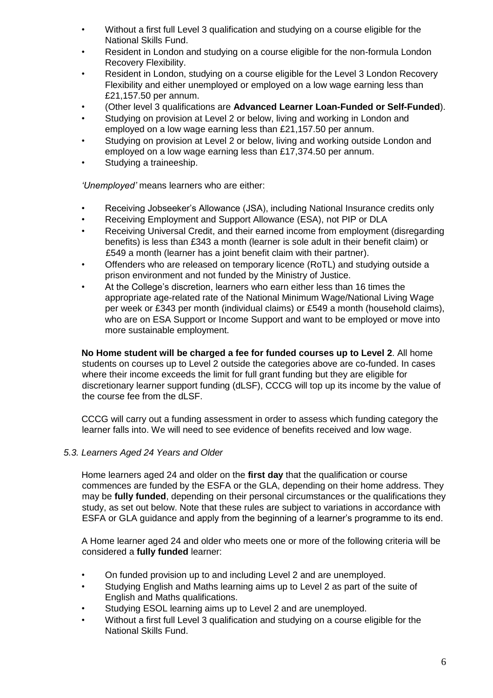- Without a first full Level 3 qualification and studying on a course eligible for the National Skills Fund.
- Resident in London and studying on a course eligible for the non-formula London Recovery Flexibility.
- Resident in London, studying on a course eligible for the Level 3 London Recovery Flexibility and either unemployed or employed on a low wage earning less than £21,157.50 per annum.
- (Other level 3 qualifications are **Advanced Learner Loan-Funded or Self-Funded**).
- Studying on provision at Level 2 or below, living and working in London and employed on a low wage earning less than £21,157.50 per annum.
- Studying on provision at Level 2 or below, living and working outside London and employed on a low wage earning less than £17,374.50 per annum.
- Studying a traineeship.

*'Unemployed'* means learners who are either:

- Receiving Jobseeker's Allowance (JSA), including National Insurance credits only
- Receiving Employment and Support Allowance (ESA), not PIP or DLA
- Receiving Universal Credit, and their earned income from employment (disregarding benefits) is less than £343 a month (learner is sole adult in their benefit claim) or £549 a month (learner has a joint benefit claim with their partner).
- Offenders who are released on temporary licence (RoTL) and studying outside a prison environment and not funded by the Ministry of Justice.
- At the College's discretion, learners who earn either less than 16 times the appropriate age-related rate of the National Minimum Wage/National Living Wage per week or £343 per month (individual claims) or £549 a month (household claims), who are on ESA Support or Income Support and want to be employed or move into more sustainable employment.

**No Home student will be charged a fee for funded courses up to Level 2**. All home students on courses up to Level 2 outside the categories above are co-funded. In cases where their income exceeds the limit for full grant funding but they are eligible for discretionary learner support funding (dLSF), CCCG will top up its income by the value of the course fee from the dLSF.

CCCG will carry out a funding assessment in order to assess which funding category the learner falls into. We will need to see evidence of benefits received and low wage.

#### *5.3. Learners Aged 24 Years and Older*

Home learners aged 24 and older on the **first day** that the qualification or course commences are funded by the ESFA or the GLA, depending on their home address. They may be **fully funded**, depending on their personal circumstances or the qualifications they study, as set out below. Note that these rules are subject to variations in accordance with ESFA or GLA guidance and apply from the beginning of a learner's programme to its end.

A Home learner aged 24 and older who meets one or more of the following criteria will be considered a **fully funded** learner:

- On funded provision up to and including Level 2 and are unemployed.
- Studying English and Maths learning aims up to Level 2 as part of the suite of English and Maths qualifications.
- Studying ESOL learning aims up to Level 2 and are unemployed.
- Without a first full Level 3 qualification and studying on a course eligible for the National Skills Fund.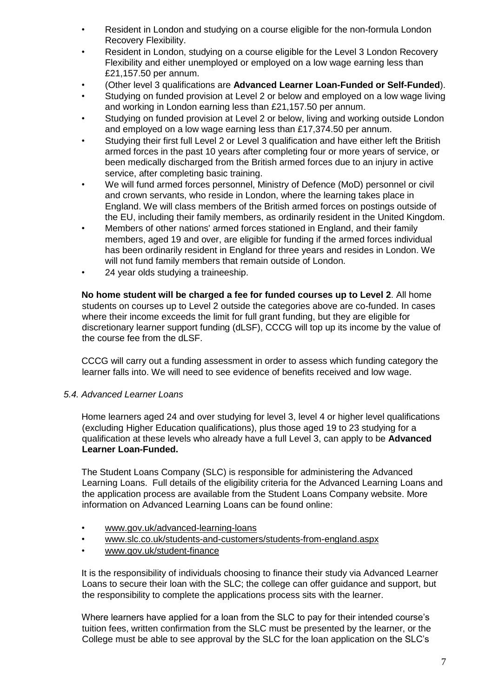- Resident in London and studying on a course eligible for the non-formula London Recovery Flexibility.
- Resident in London, studying on a course eligible for the Level 3 London Recovery Flexibility and either unemployed or employed on a low wage earning less than £21,157.50 per annum.
- (Other level 3 qualifications are **Advanced Learner Loan-Funded or Self-Funded**).
- Studying on funded provision at Level 2 or below and employed on a low wage living and working in London earning less than £21,157.50 per annum.
- Studying on funded provision at Level 2 or below, living and working outside London and employed on a low wage earning less than £17,374.50 per annum.
- Studying their first full Level 2 or Level 3 qualification and have either left the British armed forces in the past 10 years after completing four or more years of service, or been medically discharged from the British armed forces due to an injury in active service, after completing basic training.
- We will fund armed forces personnel, Ministry of Defence (MoD) personnel or civil and crown servants, who reside in London, where the learning takes place in England. We will class members of the British armed forces on postings outside of the EU, including their family members, as ordinarily resident in the United Kingdom.
- Members of other nations' armed forces stationed in England, and their family members, aged 19 and over, are eligible for funding if the armed forces individual has been ordinarily resident in England for three years and resides in London. We will not fund family members that remain outside of London.
- 24 year olds studying a traineeship.

**No home student will be charged a fee for funded courses up to Level 2**. All home students on courses up to Level 2 outside the categories above are co-funded. In cases where their income exceeds the limit for full grant funding, but they are eligible for discretionary learner support funding (dLSF), CCCG will top up its income by the value of the course fee from the dLSF.

CCCG will carry out a funding assessment in order to assess which funding category the learner falls into. We will need to see evidence of benefits received and low wage.

#### *5.4. Advanced Learner Loans*

Home learners aged 24 and over studying for level 3, level 4 or higher level qualifications (excluding Higher Education qualifications), plus those aged 19 to 23 studying for a qualification at these levels who already have a full Level 3, can apply to be **Advanced Learner Loan-Funded.**

The Student Loans Company (SLC) is responsible for administering the Advanced Learning Loans. Full details of the eligibility criteria for the Advanced Learning Loans and the application process are available from the Student Loans Company website. More information on Advanced Learning Loans can be found online:

- www.gov.uk/advanced-learning-loans
- www.slc.co.uk/students-and-customers/students-from-england.aspx
- www.gov.uk/student-finance

It is the responsibility of individuals choosing to finance their study via Advanced Learner Loans to secure their loan with the SLC; the college can offer guidance and support, but the responsibility to complete the applications process sits with the learner.

Where learners have applied for a loan from the SLC to pay for their intended course's tuition fees, written confirmation from the SLC must be presented by the learner, or the College must be able to see approval by the SLC for the loan application on the SLC's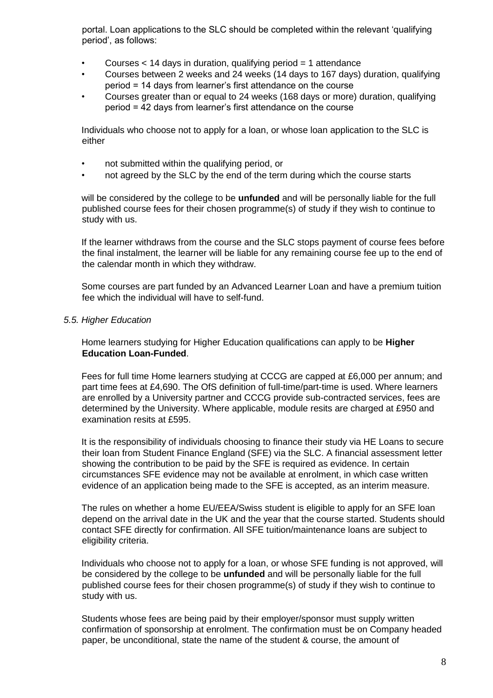portal. Loan applications to the SLC should be completed within the relevant 'qualifying period', as follows:

- Courses  $<$  14 days in duration, qualifying period  $=$  1 attendance
- Courses between 2 weeks and 24 weeks (14 days to 167 days) duration, qualifying period = 14 days from learner's first attendance on the course
- Courses greater than or equal to 24 weeks (168 days or more) duration, qualifying period = 42 days from learner's first attendance on the course

Individuals who choose not to apply for a loan, or whose loan application to the SLC is either

- not submitted within the qualifying period, or
- not agreed by the SLC by the end of the term during which the course starts

will be considered by the college to be **unfunded** and will be personally liable for the full published course fees for their chosen programme(s) of study if they wish to continue to study with us.

If the learner withdraws from the course and the SLC stops payment of course fees before the final instalment, the learner will be liable for any remaining course fee up to the end of the calendar month in which they withdraw.

Some courses are part funded by an Advanced Learner Loan and have a premium tuition fee which the individual will have to self-fund.

#### *5.5. Higher Education*

Home learners studying for Higher Education qualifications can apply to be **Higher Education Loan-Funded**.

Fees for full time Home learners studying at CCCG are capped at £6,000 per annum; and part time fees at £4,690. The OfS definition of full-time/part-time is used. Where learners are enrolled by a University partner and CCCG provide sub-contracted services, fees are determined by the University. Where applicable, module resits are charged at £950 and examination resits at £595.

It is the responsibility of individuals choosing to finance their study via HE Loans to secure their loan from Student Finance England (SFE) via the SLC. A financial assessment letter showing the contribution to be paid by the SFE is required as evidence. In certain circumstances SFE evidence may not be available at enrolment, in which case written evidence of an application being made to the SFE is accepted, as an interim measure.

The rules on whether a home EU/EEA/Swiss student is eligible to apply for an SFE loan depend on the arrival date in the UK and the year that the course started. Students should contact SFE directly for confirmation. All SFE tuition/maintenance loans are subject to eligibility criteria.

Individuals who choose not to apply for a loan, or whose SFE funding is not approved, will be considered by the college to be **unfunded** and will be personally liable for the full published course fees for their chosen programme(s) of study if they wish to continue to study with us.

Students whose fees are being paid by their employer/sponsor must supply written confirmation of sponsorship at enrolment. The confirmation must be on Company headed paper, be unconditional, state the name of the student & course, the amount of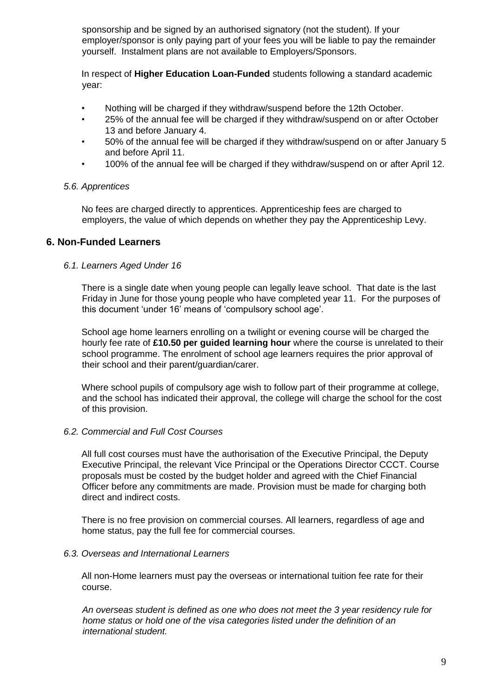sponsorship and be signed by an authorised signatory (not the student). If your employer/sponsor is only paying part of your fees you will be liable to pay the remainder yourself. Instalment plans are not available to Employers/Sponsors.

In respect of **Higher Education Loan-Funded** students following a standard academic year:

- Nothing will be charged if they withdraw/suspend before the 12th October.
- 25% of the annual fee will be charged if they withdraw/suspend on or after October 13 and before January 4.
- 50% of the annual fee will be charged if they withdraw/suspend on or after January 5 and before April 11.
- 100% of the annual fee will be charged if they withdraw/suspend on or after April 12.

#### *5.6. Apprentices*

No fees are charged directly to apprentices. Apprenticeship fees are charged to employers, the value of which depends on whether they pay the Apprenticeship Levy.

#### **6. Non-Funded Learners**

#### *6.1. Learners Aged Under 16*

There is a single date when young people can legally leave school. That date is the last Friday in June for those young people who have completed year 11. For the purposes of this document 'under 16' means of 'compulsory school age'.

School age home learners enrolling on a twilight or evening course will be charged the hourly fee rate of **£10.50 per guided learning hour** where the course is unrelated to their school programme. The enrolment of school age learners requires the prior approval of their school and their parent/guardian/carer.

Where school pupils of compulsory age wish to follow part of their programme at college, and the school has indicated their approval, the college will charge the school for the cost of this provision.

#### *6.2. Commercial and Full Cost Courses*

All full cost courses must have the authorisation of the Executive Principal, the Deputy Executive Principal, the relevant Vice Principal or the Operations Director CCCT. Course proposals must be costed by the budget holder and agreed with the Chief Financial Officer before any commitments are made. Provision must be made for charging both direct and indirect costs.

There is no free provision on commercial courses. All learners, regardless of age and home status, pay the full fee for commercial courses.

#### *6.3. Overseas and International Learners*

All non-Home learners must pay the overseas or international tuition fee rate for their course.

*An overseas student is defined as one who does not meet the 3 year residency rule for home status or hold one of the visa categories listed under the definition of an international student.*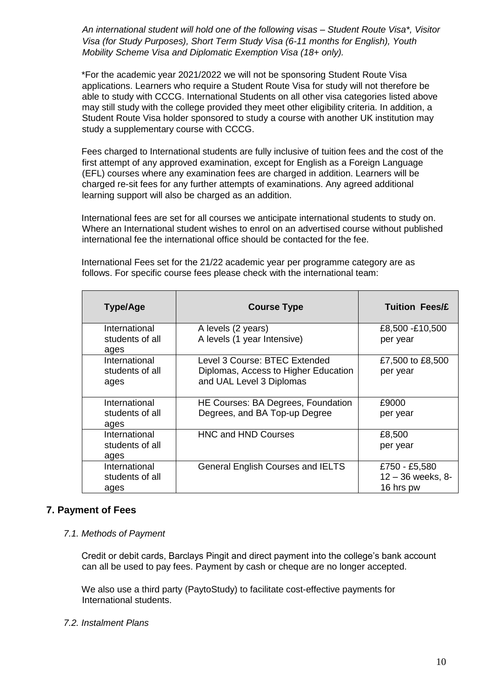*An international student will hold one of the following visas – Student Route Visa\*, Visitor Visa (for Study Purposes), Short Term Study Visa (6-11 months for English), Youth Mobility Scheme Visa and Diplomatic Exemption Visa (18+ only).* 

\*For the academic year 2021/2022 we will not be sponsoring Student Route Visa applications. Learners who require a Student Route Visa for study will not therefore be able to study with CCCG. International Students on all other visa categories listed above may still study with the college provided they meet other eligibility criteria. In addition, a Student Route Visa holder sponsored to study a course with another UK institution may study a supplementary course with CCCG.

Fees charged to International students are fully inclusive of tuition fees and the cost of the first attempt of any approved examination, except for English as a Foreign Language (EFL) courses where any examination fees are charged in addition. Learners will be charged re-sit fees for any further attempts of examinations. Any agreed additional learning support will also be charged as an addition.

International fees are set for all courses we anticipate international students to study on. Where an International student wishes to enrol on an advertised course without published international fee the international office should be contacted for the fee.

| <b>Type/Age</b>                          | <b>Course Type</b>                                                                                | <b>Tuition Fees/£</b>                             |
|------------------------------------------|---------------------------------------------------------------------------------------------------|---------------------------------------------------|
| International<br>students of all<br>ages | A levels (2 years)<br>A levels (1 year Intensive)                                                 | £8,500 -£10,500<br>per year                       |
| International<br>students of all<br>ages | Level 3 Course: BTEC Extended<br>Diplomas, Access to Higher Education<br>and UAL Level 3 Diplomas | £7,500 to £8,500<br>per year                      |
| International<br>students of all<br>ages | HE Courses: BA Degrees, Foundation<br>Degrees, and BA Top-up Degree                               | £9000<br>per year                                 |
| International<br>students of all<br>ages | <b>HNC and HND Courses</b>                                                                        | £8,500<br>per year                                |
| International<br>students of all<br>ages | <b>General English Courses and IELTS</b>                                                          | £750 - £5,580<br>$12 - 36$ weeks, 8-<br>16 hrs pw |

International Fees set for the 21/22 academic year per programme category are as follows. For specific course fees please check with the international team:

## **7. Payment of Fees**

#### *7.1. Methods of Payment*

Credit or debit cards, Barclays Pingit and direct payment into the college's bank account can all be used to pay fees. Payment by cash or cheque are no longer accepted.

We also use a third party (PaytoStudy) to facilitate cost-effective payments for International students.

#### *7.2. Instalment Plans*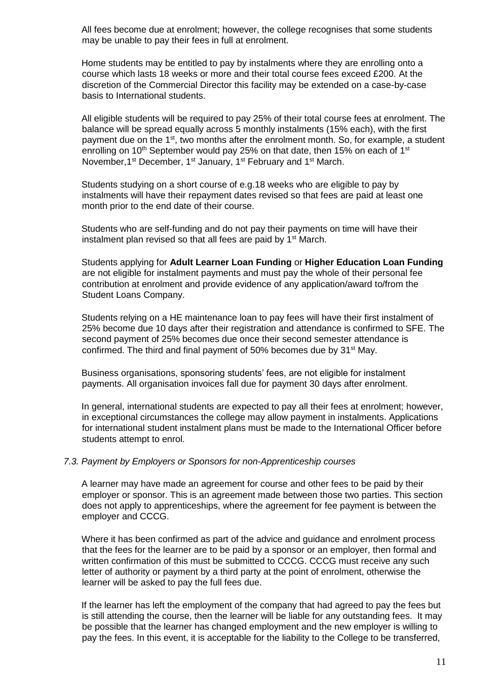All fees become due at enrolment; however, the college recognises that some students may be unable to pay their fees in full at enrolment.

Home students may be entitled to pay by instalments where they are enrolling onto a course which lasts 18 weeks or more and their total course fees exceed £200. At the discretion of the Commercial Director this facility may be extended on a case-by-case basis to International students.

All eligible students will be required to pay 25% of their total course fees at enrolment. The balance will be spread equally across 5 monthly instalments (15% each), with the first payment due on the 1<sup>st</sup>, two months after the enrolment month. So, for example, a student enrolling on 10<sup>th</sup> September would pay 25% on that date, then 15% on each of 1<sup>st</sup> November, 1<sup>st</sup> December, 1<sup>st</sup> January, 1<sup>st</sup> February and 1<sup>st</sup> March.

Students studying on a short course of e.g.18 weeks who are eligible to pay by instalments will have their repayment dates revised so that fees are paid at least one month prior to the end date of their course.

Students who are self-funding and do not pay their payments on time will have their instalment plan revised so that all fees are paid by 1<sup>st</sup> March.

Students applying for **Adult Learner Loan Funding** or **Higher Education Loan Funding** are not eligible for instalment payments and must pay the whole of their personal fee contribution at enrolment and provide evidence of any application/award to/from the Student Loans Company.

Students relying on a HE maintenance loan to pay fees will have their first instalment of 25% become due 10 days after their registration and attendance is confirmed to SFE. The second payment of 25% becomes due once their second semester attendance is confirmed. The third and final payment of 50% becomes due by 31<sup>st</sup> May.

Business organisations, sponsoring students' fees, are not eligible for instalment payments. All organisation invoices fall due for payment 30 days after enrolment.

In general, international students are expected to pay all their fees at enrolment; however, in exceptional circumstances the college may allow payment in instalments. Applications for international student instalment plans must be made to the International Officer before students attempt to enrol.

#### *7.3. Payment by Employers or Sponsors for non-Apprenticeship courses*

A learner may have made an agreement for course and other fees to be paid by their employer or sponsor. This is an agreement made between those two parties. This section does not apply to apprenticeships, where the agreement for fee payment is between the employer and CCCG.

Where it has been confirmed as part of the advice and guidance and enrolment process that the fees for the learner are to be paid by a sponsor or an employer, then formal and written confirmation of this must be submitted to CCCG. CCCG must receive any such letter of authority or payment by a third party at the point of enrolment, otherwise the learner will be asked to pay the full fees due.

If the learner has left the employment of the company that had agreed to pay the fees but is still attending the course, then the learner will be liable for any outstanding fees. It may be possible that the learner has changed employment and the new employer is willing to pay the fees. In this event, it is acceptable for the liability to the College to be transferred,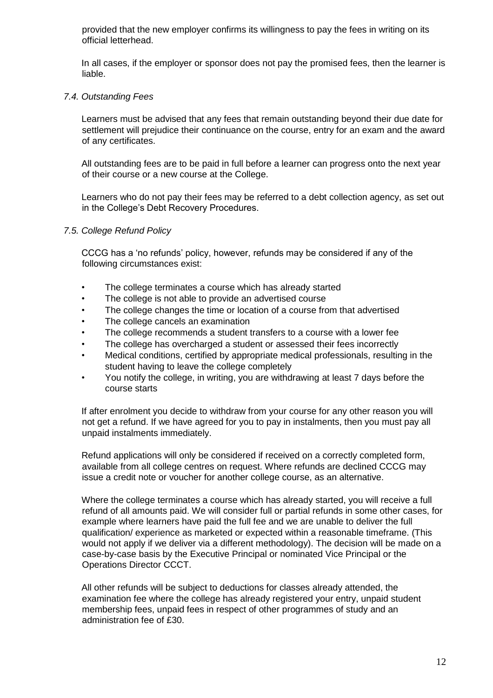provided that the new employer confirms its willingness to pay the fees in writing on its official letterhead.

In all cases, if the employer or sponsor does not pay the promised fees, then the learner is liable.

#### *7.4. Outstanding Fees*

Learners must be advised that any fees that remain outstanding beyond their due date for settlement will prejudice their continuance on the course, entry for an exam and the award of any certificates.

All outstanding fees are to be paid in full before a learner can progress onto the next year of their course or a new course at the College.

Learners who do not pay their fees may be referred to a debt collection agency, as set out in the College's Debt Recovery Procedures.

#### *7.5. College Refund Policy*

CCCG has a 'no refunds' policy, however, refunds may be considered if any of the following circumstances exist:

- The college terminates a course which has already started
- The college is not able to provide an advertised course
- The college changes the time or location of a course from that advertised
- The college cancels an examination
- The college recommends a student transfers to a course with a lower fee
- The college has overcharged a student or assessed their fees incorrectly
- Medical conditions, certified by appropriate medical professionals, resulting in the student having to leave the college completely
- You notify the college, in writing, you are withdrawing at least 7 days before the course starts

If after enrolment you decide to withdraw from your course for any other reason you will not get a refund. If we have agreed for you to pay in instalments, then you must pay all unpaid instalments immediately.

Refund applications will only be considered if received on a correctly completed form, available from all college centres on request. Where refunds are declined CCCG may issue a credit note or voucher for another college course, as an alternative.

Where the college terminates a course which has already started, you will receive a full refund of all amounts paid. We will consider full or partial refunds in some other cases, for example where learners have paid the full fee and we are unable to deliver the full qualification/ experience as marketed or expected within a reasonable timeframe. (This would not apply if we deliver via a different methodology). The decision will be made on a case-by-case basis by the Executive Principal or nominated Vice Principal or the Operations Director CCCT.

All other refunds will be subject to deductions for classes already attended, the examination fee where the college has already registered your entry, unpaid student membership fees, unpaid fees in respect of other programmes of study and an administration fee of £30.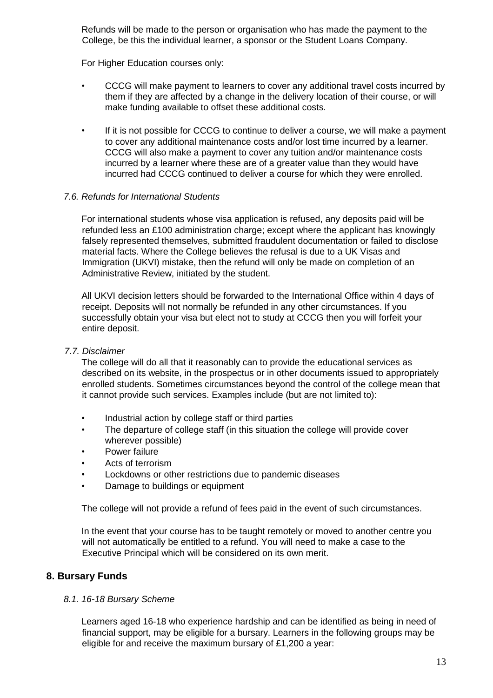Refunds will be made to the person or organisation who has made the payment to the College, be this the individual learner, a sponsor or the Student Loans Company.

For Higher Education courses only:

- CCCG will make payment to learners to cover any additional travel costs incurred by them if they are affected by a change in the delivery location of their course, or will make funding available to offset these additional costs.
- If it is not possible for CCCG to continue to deliver a course, we will make a payment to cover any additional maintenance costs and/or lost time incurred by a learner. CCCG will also make a payment to cover any tuition and/or maintenance costs incurred by a learner where these are of a greater value than they would have incurred had CCCG continued to deliver a course for which they were enrolled.

#### *7.6. Refunds for International Students*

For international students whose visa application is refused, any deposits paid will be refunded less an £100 administration charge; except where the applicant has knowingly falsely represented themselves, submitted fraudulent documentation or failed to disclose material facts. Where the College believes the refusal is due to a UK Visas and Immigration (UKVI) mistake, then the refund will only be made on completion of an Administrative Review, initiated by the student.

All UKVI decision letters should be forwarded to the International Office within 4 days of receipt. Deposits will not normally be refunded in any other circumstances. If you successfully obtain your visa but elect not to study at CCCG then you will forfeit your entire deposit.

#### *7.7. Disclaimer*

The college will do all that it reasonably can to provide the educational services as described on its website, in the prospectus or in other documents issued to appropriately enrolled students. Sometimes circumstances beyond the control of the college mean that it cannot provide such services. Examples include (but are not limited to):

- Industrial action by college staff or third parties
- The departure of college staff (in this situation the college will provide cover wherever possible)
- Power failure
- Acts of terrorism
- Lockdowns or other restrictions due to pandemic diseases
- Damage to buildings or equipment

The college will not provide a refund of fees paid in the event of such circumstances.

In the event that your course has to be taught remotely or moved to another centre you will not automatically be entitled to a refund. You will need to make a case to the Executive Principal which will be considered on its own merit.

#### **8. Bursary Funds**

#### *8.1. 16-18 Bursary Scheme*

Learners aged 16-18 who experience hardship and can be identified as being in need of financial support, may be eligible for a bursary. Learners in the following groups may be eligible for and receive the maximum bursary of £1,200 a year: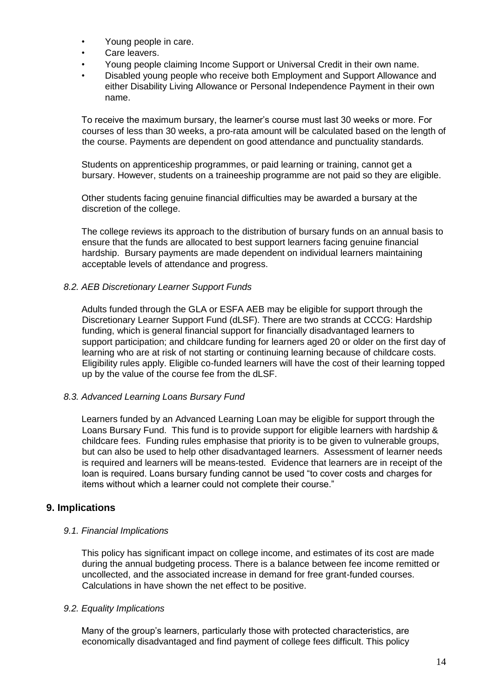- Young people in care.
- Care leavers.
- Young people claiming Income Support or Universal Credit in their own name.
- Disabled young people who receive both Employment and Support Allowance and either Disability Living Allowance or Personal Independence Payment in their own name.

To receive the maximum bursary, the learner's course must last 30 weeks or more. For courses of less than 30 weeks, a pro-rata amount will be calculated based on the length of the course. Payments are dependent on good attendance and punctuality standards.

Students on apprenticeship programmes, or paid learning or training, cannot get a bursary. However, students on a traineeship programme are not paid so they are eligible.

Other students facing genuine financial difficulties may be awarded a bursary at the discretion of the college.

The college reviews its approach to the distribution of bursary funds on an annual basis to ensure that the funds are allocated to best support learners facing genuine financial hardship. Bursary payments are made dependent on individual learners maintaining acceptable levels of attendance and progress.

#### *8.2. AEB Discretionary Learner Support Funds*

Adults funded through the GLA or ESFA AEB may be eligible for support through the Discretionary Learner Support Fund (dLSF). There are two strands at CCCG: Hardship funding, which is general financial support for financially disadvantaged learners to support participation; and childcare funding for learners aged 20 or older on the first day of learning who are at risk of not starting or continuing learning because of childcare costs. Eligibility rules apply. Eligible co-funded learners will have the cost of their learning topped up by the value of the course fee from the dLSF.

#### *8.3. Advanced Learning Loans Bursary Fund*

Learners funded by an Advanced Learning Loan may be eligible for support through the Loans Bursary Fund. This fund is to provide support for eligible learners with hardship & childcare fees. Funding rules emphasise that priority is to be given to vulnerable groups, but can also be used to help other disadvantaged learners. Assessment of learner needs is required and learners will be means-tested. Evidence that learners are in receipt of the loan is required. Loans bursary funding cannot be used "to cover costs and charges for items without which a learner could not complete their course."

## **9. Implications**

#### *9.1. Financial Implications*

This policy has significant impact on college income, and estimates of its cost are made during the annual budgeting process. There is a balance between fee income remitted or uncollected, and the associated increase in demand for free grant-funded courses. Calculations in have shown the net effect to be positive.

#### *9.2. Equality Implications*

Many of the group's learners, particularly those with protected characteristics, are economically disadvantaged and find payment of college fees difficult. This policy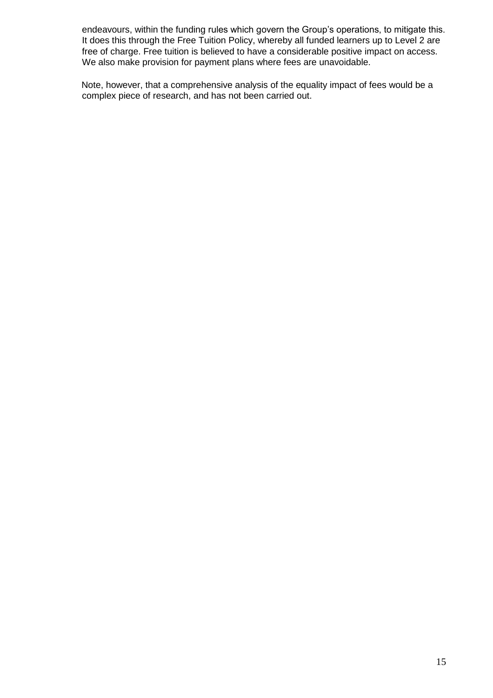endeavours, within the funding rules which govern the Group's operations, to mitigate this. It does this through the Free Tuition Policy, whereby all funded learners up to Level 2 are free of charge. Free tuition is believed to have a considerable positive impact on access. We also make provision for payment plans where fees are unavoidable.

Note, however, that a comprehensive analysis of the equality impact of fees would be a complex piece of research, and has not been carried out.